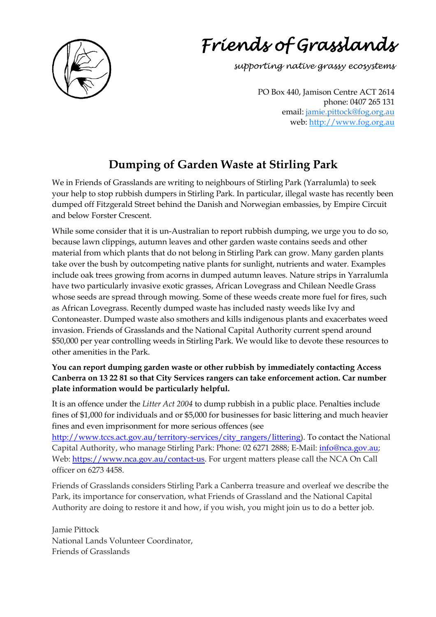

# *Friends of Grasslands*

*supporting native grassy ecosystems*

PO Box 440, Jamison Centre ACT 2614 phone: 0407 265 131 email: jamie.pittock@fog.org.au web: [http://www.fog.org.au](http://www.fog.org.au/)

# **Dumping of Garden Waste at Stirling Park**

We in Friends of Grasslands are writing to neighbours of Stirling Park (Yarralumla) to seek your help to stop rubbish dumpers in Stirling Park. In particular, illegal waste has recently been dumped off Fitzgerald Street behind the Danish and Norwegian embassies, by Empire Circuit and below Forster Crescent.

While some consider that it is un-Australian to report rubbish dumping, we urge you to do so, because lawn clippings, autumn leaves and other garden waste contains seeds and other material from which plants that do not belong in Stirling Park can grow. Many garden plants take over the bush by outcompeting native plants for sunlight, nutrients and water. Examples include oak trees growing from acorns in dumped autumn leaves. Nature strips in Yarralumla have two particularly invasive exotic grasses, African Lovegrass and Chilean Needle Grass whose seeds are spread through mowing. Some of these weeds create more fuel for fires, such as African Lovegrass. Recently dumped waste has included nasty weeds like Ivy and Contoneaster. Dumped waste also smothers and kills indigenous plants and exacerbates weed invasion. Friends of Grasslands and the National Capital Authority current spend around \$50,000 per year controlling weeds in Stirling Park. We would like to devote these resources to other amenities in the Park.

#### **You can report dumping garden waste or other rubbish by immediately contacting Access Canberra on 13 22 81 so that City Services rangers can take enforcement action. Car number plate information would be particularly helpful.**

It is an offence under the *Litter Act 2004* to dump rubbish in a public place. Penalties include fines of \$1,000 for individuals and or \$5,000 for businesses for basic littering and much heavier fines and even imprisonment for more serious offences (see

[http://www.tccs.act.gov.au/territory-services/city\\_rangers/littering\)](http://www.tccs.act.gov.au/territory-services/city_rangers/littering). To contact the National Capital Authority, who manage Stirling Park: Phone: 02 6271 2888; E-Mail: [info@nca.gov.au;](mailto:info@nca.gov.au) Web: https://www.nca.gov.au/contact-us</u>. For urgent matters please call the NCA On Call officer on 6273 4458.

Friends of Grasslands considers Stirling Park a Canberra treasure and overleaf we describe the Park, its importance for conservation, what Friends of Grassland and the National Capital Authority are doing to restore it and how, if you wish, you might join us to do a better job.

Jamie Pittock National Lands Volunteer Coordinator, Friends of Grasslands